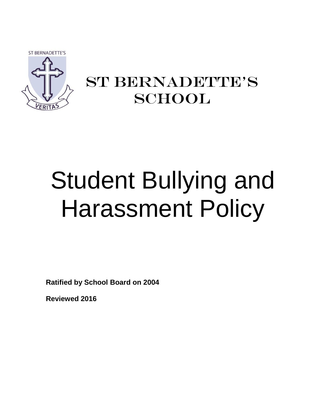**ST BERNADETTE'S** 



## ST BERNADETTE'S **SCHOOL**

# Student Bullying and Harassment Policy

**Ratified by School Board on 2004**

**Reviewed 2016**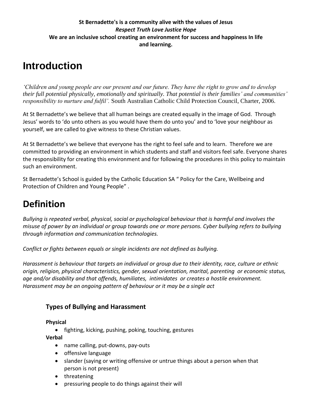## **St Bernadette's is a community alive with the values of Jesus** *Respect Truth Love Justice Hope* **We are an inclusive school creating an environment for success and happiness In life and learning.**

## **Introduction**

*'Children and young people are our present and our future. They have the right to grow and to develop their full potential physically, emotionally and spiritually. That potential is their families' and communities' responsibility to nurture and fulfil'.* South Australian Catholic Child Protection Council, Charter, 2006.

At St Bernadette's we believe that all human beings are created equally in the image of God. Through Jesus' words to 'do unto others as you would have them do unto you' and to 'love your neighbour as yourself, we are called to give witness to these Christian values.

At St Bernadette's we believe that everyone has the right to feel safe and to learn. Therefore we are committed to providing an environment in which students and staff and visitors feel safe. Everyone shares the responsibility for creating this environment and for following the procedures in this policy to maintain such an environment.

St Bernadette's School is guided by the Catholic Education SA " Policy for the Care, Wellbeing and Protection of Children and Young People" .

## **Definition**

*Bullying is repeated verbal, physical, social or psychological behaviour that is harmful and involves the misuse of power by an individual or group towards one or more persons. Cyber bullying refers to bullying through information and communication technologies.*

*Conflict or fights between equals or single incidents are not defined as bullying.*

*Harassment is behaviour that targets an individual or group due to their identity, race, culture or ethnic origin, religion, physical characteristics, gender, sexual orientation, marital, parenting or economic status, age and/or disability and that offends, humiliates, intimidates or creates a hostile environment. Harassment may be an ongoing pattern of behaviour or it may be a single act*

## **Types of Bullying and Harassment**

### **Physical**

• fighting, kicking, pushing, poking, touching, gestures **Verbal**

- name calling, put-downs, pay-outs
- offensive language
- slander (saying or writing offensive or untrue things about a person when that person is not present)
- threatening
- pressuring people to do things against their will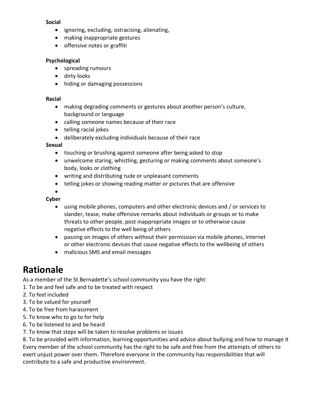#### **Social**

- ignoring, excluding, ostracising, alienating,
- making inappropriate gestures
- offensive notes or graffiti

#### **Psychological**

- spreading rumours
- dirty looks
- hiding or damaging possessions

#### **Racial**

- making degrading comments or gestures about another person's culture, background or language
- calling someone names because of their race
- telling racial jokes
- deliberately excluding individuals because of their race

#### **Sexual**

- touching or brushing against someone after being asked to stop
- unwelcome staring, whistling, gesturing or making comments about someone's body, looks or clothing
- writing and distributing rude or unpleasant comments
- telling jokes or showing reading matter or pictures that are offensive

 $\bullet$ 

## **Cyber**

- using mobile phones, computers and other electronic devices and / or services to slander, tease, make offensive remarks about individuals or groups or to make threats to other people, post inappropriate images or to otherwise cause negative effects to the well being of others
- passing on images of others without their permission via mobile phones, internet or other electronic devices that cause negative effects to the wellbeing of others
- malicious SMS and email messages

## **Rationale**

As a member of the St.Bernadette's school community you have the right:

- 1. To be and feel safe and to be treated with respect
- 2. To feel included
- 3. To be valued for yourself
- 4. To be free from harassment
- 5. To know who to go to for help
- 6. To be listened to and be heard
- 7. To know that steps will be taken to resolve problems or issues

8. To be provided with information, learning opportunities and advice about bullying and how to manage it Every member of the school community has the right to be safe and free from the attempts of others to exert unjust power over them. Therefore everyone in the community has responsibilities that will contribute to a safe and productive environment.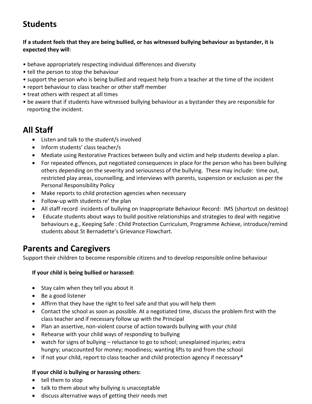## **Students**

## **If a student feels that they are being bullied, or has witnessed bullying behaviour as bystander, it is expected they will**:

- behave appropriately respecting individual differences and diversity
- tell the person to stop the behaviour
- support the person who is being bullied and request help from a teacher at the time of the incident
- report behaviour to class teacher or other staff member
- treat others with respect at all times
- be aware that if students have witnessed bullying behaviour as a bystander they are responsible for reporting the incident.

## **All Staff**

- Listen and talk to the student/s involved
- Inform students' class teacher/s
- Mediate using Restorative Practices between bully and victim and help students develop a plan.
- For repeated offences, put negotiated consequences in place for the person who has been bullying others depending on the severity and seriousness of the bullying. These may include: time out, restricted play areas, counselling, and interviews with parents, suspension or exclusion as per the Personal Responsibility Policy
- Make reports to child protection agencies when necessary
- Follow-up with students re' the plan
- All staff record incidents of bullying on Inappropriate Behaviour Record: IMS (shortcut on desktop)
- Educate students about ways to build positive relationships and strategies to deal with negative behaviours e.g., Keeping Safe : Child Protection Curriculum, Programme Achieve, introduce/remind students about St Bernadette's Grievance Flowchart.

## **Parents and Caregivers**

Support their children to become responsible citizens and to develop responsible online behaviour

### **If your child is being bullied or harassed:**

- Stay calm when they tell you about it
- Be a good listener
- Affirm that they have the right to feel safe and that you will help them
- Contact the school as soon as possible. At a negotiated time, discuss the problem first with the class teacher and if necessary follow up with the Principal
- Plan an assertive, non-violent course of action towards bullying with your child
- Rehearse with your child ways of responding to bullying
- watch for signs of bullying reluctance to go to school; unexplained injuries; extra hungry; unaccounted for money; moodiness; wanting lifts to and from the school
- If not your child, report to class teacher and child protection agency if necessary**\***

## **If your child is bullying or harassing others:**

- tell them to stop
- talk to them about why bullying is unacceptable
- discuss alternative ways of getting their needs met